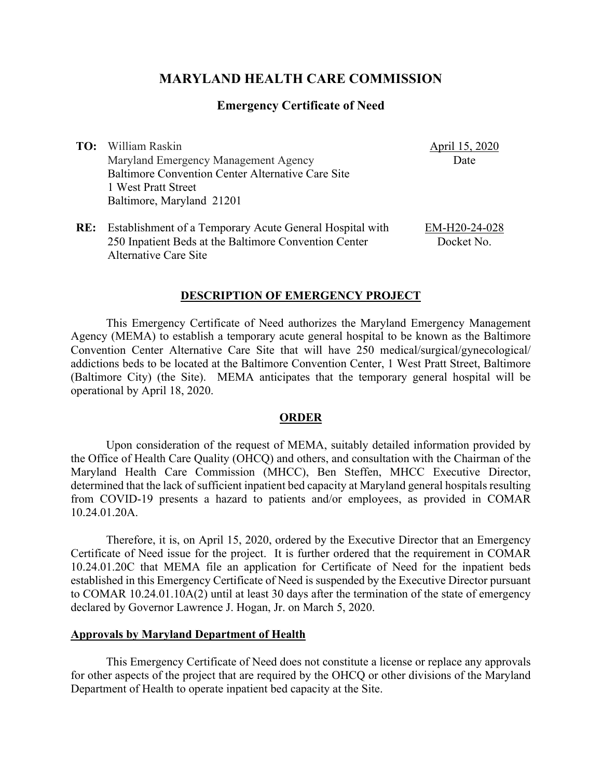# **MARYLAND HEALTH CARE COMMISSION**

## **Emergency Certificate of Need**

**TO:** William Raskin Maryland Emergency Management Agency Baltimore Convention Center Alternative Care Site 1 West Pratt Street Baltimore, Maryland 21201

April 15, 2020 Date

**RE:** Establishment of a Temporary Acute General Hospital with 250 Inpatient Beds at the Baltimore Convention Center Alternative Care Site EM-H20-24-028 Docket No.

#### **DESCRIPTION OF EMERGENCY PROJECT**

This Emergency Certificate of Need authorizes the Maryland Emergency Management Agency (MEMA) to establish a temporary acute general hospital to be known as the Baltimore Convention Center Alternative Care Site that will have 250 medical/surgical/gynecological/ addictions beds to be located at the Baltimore Convention Center, 1 West Pratt Street, Baltimore (Baltimore City) (the Site). MEMA anticipates that the temporary general hospital will be operational by April 18, 2020.

### **ORDER**

Upon consideration of the request of MEMA, suitably detailed information provided by the Office of Health Care Quality (OHCQ) and others, and consultation with the Chairman of the Maryland Health Care Commission (MHCC), Ben Steffen, MHCC Executive Director, determined that the lack of sufficient inpatient bed capacity at Maryland general hospitals resulting from COVID-19 presents a hazard to patients and/or employees, as provided in COMAR 10.24.01.20A.

Therefore, it is, on April 15, 2020, ordered by the Executive Director that an Emergency Certificate of Need issue for the project. It is further ordered that the requirement in COMAR 10.24.01.20C that MEMA file an application for Certificate of Need for the inpatient beds established in this Emergency Certificate of Need is suspended by the Executive Director pursuant to COMAR 10.24.01.10A(2) until at least 30 days after the termination of the state of emergency declared by Governor Lawrence J. Hogan, Jr. on March 5, 2020.

#### **Approvals by Maryland Department of Health**

This Emergency Certificate of Need does not constitute a license or replace any approvals for other aspects of the project that are required by the OHCQ or other divisions of the Maryland Department of Health to operate inpatient bed capacity at the Site.